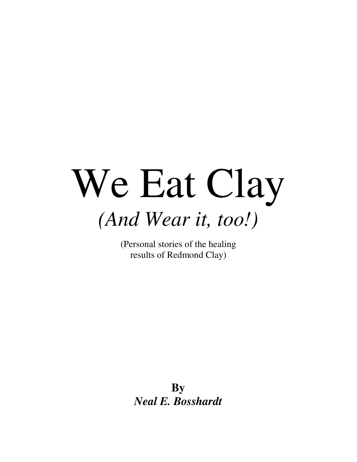# We Eat Clay *(And Wear it, too!)*

(Personal stories of the healing results of Redmond Clay)

> **By** *Neal E. Bosshardt*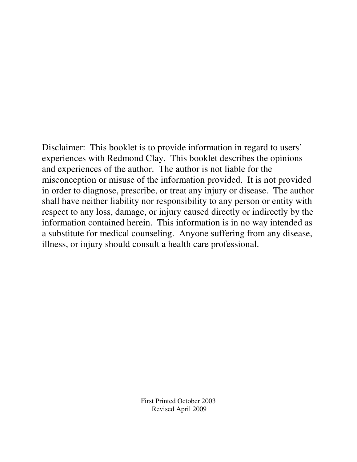Disclaimer: This booklet is to provide information in regard to users' experiences with Redmond Clay. This booklet describes the opinions and experiences of the author. The author is not liable for the misconception or misuse of the information provided. It is not provided in order to diagnose, prescribe, or treat any injury or disease. The author shall have neither liability nor responsibility to any person or entity with respect to any loss, damage, or injury caused directly or indirectly by the information contained herein. This information is in no way intended as a substitute for medical counseling. Anyone suffering from any disease, illness, or injury should consult a health care professional.

> First Printed October 2003 Revised April 2009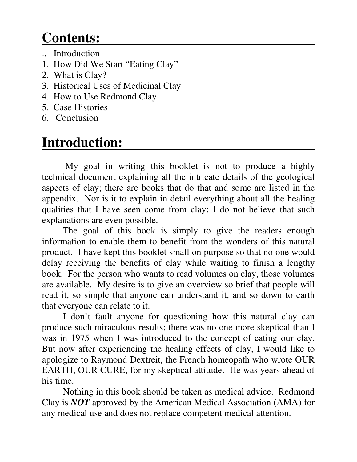## **Contents:**

- .. Introduction
- 1. How Did We Start "Eating Clay"
- 2. What is Clay?
- 3. Historical Uses of Medicinal Clay
- 4. How to Use Redmond Clay.
- 5. Case Histories
- 6. Conclusion

## **Introduction:**

My goal in writing this booklet is not to produce a highly technical document explaining all the intricate details of the geological aspects of clay; there are books that do that and some are listed in the appendix. Nor is it to explain in detail everything about all the healing qualities that I have seen come from clay; I do not believe that such explanations are even possible.

The goal of this book is simply to give the readers enough information to enable them to benefit from the wonders of this natural product. I have kept this booklet small on purpose so that no one would delay receiving the benefits of clay while waiting to finish a lengthy book. For the person who wants to read volumes on clay, those volumes are available. My desire is to give an overview so brief that people will read it, so simple that anyone can understand it, and so down to earth that everyone can relate to it.

I don't fault anyone for questioning how this natural clay can produce such miraculous results; there was no one more skeptical than I was in 1975 when I was introduced to the concept of eating our clay. But now after experiencing the healing effects of clay, I would like to apologize to Raymond Dextreit, the French homeopath who wrote OUR EARTH, OUR CURE, for my skeptical attitude. He was years ahead of his time.

Nothing in this book should be taken as medical advice. Redmond Clay is *NOT* approved by the American Medical Association (AMA) for any medical use and does not replace competent medical attention.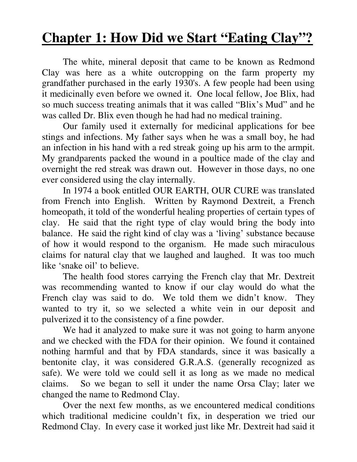## **Chapter 1: How Did we Start "Eating Clay"?**

The white, mineral deposit that came to be known as Redmond Clay was here as a white outcropping on the farm property my grandfather purchased in the early 1930's. A few people had been using it medicinally even before we owned it. One local fellow, Joe Blix, had so much success treating animals that it was called "Blix's Mud" and he was called Dr. Blix even though he had had no medical training.

Our family used it externally for medicinal applications for bee stings and infections. My father says when he was a small boy, he had an infection in his hand with a red streak going up his arm to the armpit. My grandparents packed the wound in a poultice made of the clay and overnight the red streak was drawn out. However in those days, no one ever considered using the clay internally.

In 1974 a book entitled OUR EARTH, OUR CURE was translated from French into English. Written by Raymond Dextreit, a French homeopath, it told of the wonderful healing properties of certain types of clay. He said that the right type of clay would bring the body into balance. He said the right kind of clay was a 'living' substance because of how it would respond to the organism. He made such miraculous claims for natural clay that we laughed and laughed. It was too much like 'snake oil' to believe.

The health food stores carrying the French clay that Mr. Dextreit was recommending wanted to know if our clay would do what the French clay was said to do. We told them we didn't know. They wanted to try it, so we selected a white vein in our deposit and pulverized it to the consistency of a fine powder.

We had it analyzed to make sure it was not going to harm anyone and we checked with the FDA for their opinion. We found it contained nothing harmful and that by FDA standards, since it was basically a bentonite clay, it was considered G.R.A.S. (generally recognized as safe). We were told we could sell it as long as we made no medical claims. So we began to sell it under the name Orsa Clay; later we changed the name to Redmond Clay.

Over the next few months, as we encountered medical conditions which traditional medicine couldn't fix, in desperation we tried our Redmond Clay. In every case it worked just like Mr. Dextreit had said it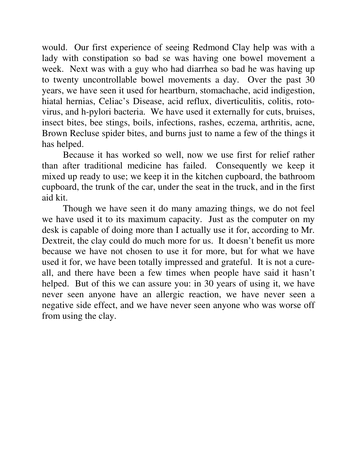would. Our first experience of seeing Redmond Clay help was with a lady with constipation so bad se was having one bowel movement a week. Next was with a guy who had diarrhea so bad he was having up to twenty uncontrollable bowel movements a day. Over the past 30 years, we have seen it used for heartburn, stomachache, acid indigestion, hiatal hernias, Celiac's Disease, acid reflux, diverticulitis, colitis, rotovirus, and h-pylori bacteria. We have used it externally for cuts, bruises, insect bites, bee stings, boils, infections, rashes, eczema, arthritis, acne, Brown Recluse spider bites, and burns just to name a few of the things it has helped.

Because it has worked so well, now we use first for relief rather than after traditional medicine has failed. Consequently we keep it mixed up ready to use; we keep it in the kitchen cupboard, the bathroom cupboard, the trunk of the car, under the seat in the truck, and in the first aid kit.

Though we have seen it do many amazing things, we do not feel we have used it to its maximum capacity. Just as the computer on my desk is capable of doing more than I actually use it for, according to Mr. Dextreit, the clay could do much more for us. It doesn't benefit us more because we have not chosen to use it for more, but for what we have used it for, we have been totally impressed and grateful. It is not a cureall, and there have been a few times when people have said it hasn't helped. But of this we can assure you: in 30 years of using it, we have never seen anyone have an allergic reaction, we have never seen a negative side effect, and we have never seen anyone who was worse off from using the clay.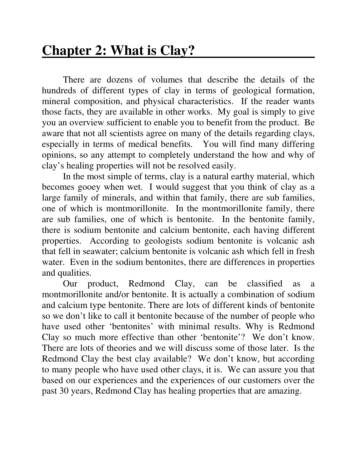## **Chapter 2: What is Clay?**

There are dozens of volumes that describe the details of the hundreds of different types of clay in terms of geological formation, mineral composition, and physical characteristics. If the reader wants those facts, they are available in other works. My goal is simply to give you an overview sufficient to enable you to benefit from the product. Be aware that not all scientists agree on many of the details regarding clays, especially in terms of medical benefits. You will find many differing opinions, so any attempt to completely understand the how and why of clay's healing properties will not be resolved easily.

In the most simple of terms, clay is a natural earthy material, which becomes gooey when wet. I would suggest that you think of clay as a large family of minerals, and within that family, there are sub families, one of which is montmorillonite. In the montmorillonite family, there are sub families, one of which is bentonite. In the bentonite family, there is sodium bentonite and calcium bentonite, each having different properties. According to geologists sodium bentonite is volcanic ash that fell in seawater; calcium bentonite is volcanic ash which fell in fresh water. Even in the sodium bentonites, there are differences in properties and qualities.

Our product, Redmond Clay, can be classified as a montmorillonite and/or bentonite. It is actually a combination of sodium and calcium type bentonite. There are lots of different kinds of bentonite so we don't like to call it bentonite because of the number of people who have used other 'bentonites' with minimal results. Why is Redmond Clay so much more effective than other 'bentonite'? We don't know. There are lots of theories and we will discuss some of those later. Is the Redmond Clay the best clay available? We don't know, but according to many people who have used other clays, it is. We can assure you that based on our experiences and the experiences of our customers over the past 30 years, Redmond Clay has healing properties that are amazing.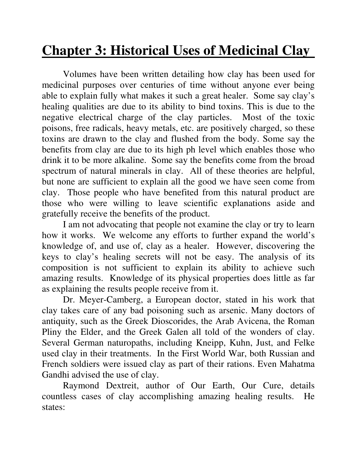## **Chapter 3: Historical Uses of Medicinal Clay**

Volumes have been written detailing how clay has been used for medicinal purposes over centuries of time without anyone ever being able to explain fully what makes it such a great healer. Some say clay's healing qualities are due to its ability to bind toxins. This is due to the negative electrical charge of the clay particles. Most of the toxic poisons, free radicals, heavy metals, etc. are positively charged, so these toxins are drawn to the clay and flushed from the body. Some say the benefits from clay are due to its high ph level which enables those who drink it to be more alkaline. Some say the benefits come from the broad spectrum of natural minerals in clay. All of these theories are helpful, but none are sufficient to explain all the good we have seen come from clay. Those people who have benefited from this natural product are those who were willing to leave scientific explanations aside and gratefully receive the benefits of the product.

I am not advocating that people not examine the clay or try to learn how it works. We welcome any efforts to further expand the world's knowledge of, and use of, clay as a healer. However, discovering the keys to clay's healing secrets will not be easy. The analysis of its composition is not sufficient to explain its ability to achieve such amazing results. Knowledge of its physical properties does little as far as explaining the results people receive from it.

Dr. Meyer-Camberg, a European doctor, stated in his work that clay takes care of any bad poisoning such as arsenic. Many doctors of antiquity, such as the Greek Dioscorides, the Arab Avicena, the Roman Pliny the Elder, and the Greek Galen all told of the wonders of clay. Several German naturopaths, including Kneipp, Kuhn, Just, and Felke used clay in their treatments. In the First World War, both Russian and French soldiers were issued clay as part of their rations. Even Mahatma Gandhi advised the use of clay.

Raymond Dextreit, author of Our Earth, Our Cure, details countless cases of clay accomplishing amazing healing results. He states: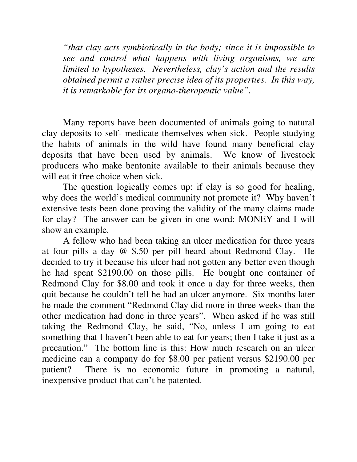*"that clay acts symbiotically in the body; since it is impossible to see and control what happens with living organisms, we are limited to hypotheses. Nevertheless, clay's action and the results obtained permit a rather precise idea of its properties. In this way, it is remarkable for its organo-therapeutic value".*

Many reports have been documented of animals going to natural clay deposits to self- medicate themselves when sick. People studying the habits of animals in the wild have found many beneficial clay deposits that have been used by animals. We know of livestock producers who make bentonite available to their animals because they will eat it free choice when sick.

The question logically comes up: if clay is so good for healing, why does the world's medical community not promote it? Why haven't extensive tests been done proving the validity of the many claims made for clay? The answer can be given in one word: MONEY and I will show an example.

A fellow who had been taking an ulcer medication for three years at four pills a day @ \$.50 per pill heard about Redmond Clay. He decided to try it because his ulcer had not gotten any better even though he had spent \$2190.00 on those pills. He bought one container of Redmond Clay for \$8.00 and took it once a day for three weeks, then quit because he couldn't tell he had an ulcer anymore. Six months later he made the comment "Redmond Clay did more in three weeks than the other medication had done in three years". When asked if he was still taking the Redmond Clay, he said, "No, unless I am going to eat something that I haven't been able to eat for years; then I take it just as a precaution." The bottom line is this: How much research on an ulcer medicine can a company do for \$8.00 per patient versus \$2190.00 per patient? There is no economic future in promoting a natural, inexpensive product that can't be patented.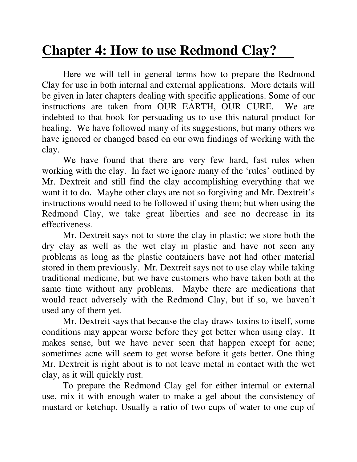## **Chapter 4: How to use Redmond Clay?**

Here we will tell in general terms how to prepare the Redmond Clay for use in both internal and external applications. More details will be given in later chapters dealing with specific applications. Some of our instructions are taken from OUR EARTH, OUR CURE. We are indebted to that book for persuading us to use this natural product for healing. We have followed many of its suggestions, but many others we have ignored or changed based on our own findings of working with the clay.

We have found that there are very few hard, fast rules when working with the clay. In fact we ignore many of the 'rules' outlined by Mr. Dextreit and still find the clay accomplishing everything that we want it to do. Maybe other clays are not so forgiving and Mr. Dextreit's instructions would need to be followed if using them; but when using the Redmond Clay, we take great liberties and see no decrease in its effectiveness.

Mr. Dextreit says not to store the clay in plastic; we store both the dry clay as well as the wet clay in plastic and have not seen any problems as long as the plastic containers have not had other material stored in them previously. Mr. Dextreit says not to use clay while taking traditional medicine, but we have customers who have taken both at the same time without any problems. Maybe there are medications that would react adversely with the Redmond Clay, but if so, we haven't used any of them yet.

Mr. Dextreit says that because the clay draws toxins to itself, some conditions may appear worse before they get better when using clay. It makes sense, but we have never seen that happen except for acne; sometimes acne will seem to get worse before it gets better. One thing Mr. Dextreit is right about is to not leave metal in contact with the wet clay, as it will quickly rust.

To prepare the Redmond Clay gel for either internal or external use, mix it with enough water to make a gel about the consistency of mustard or ketchup. Usually a ratio of two cups of water to one cup of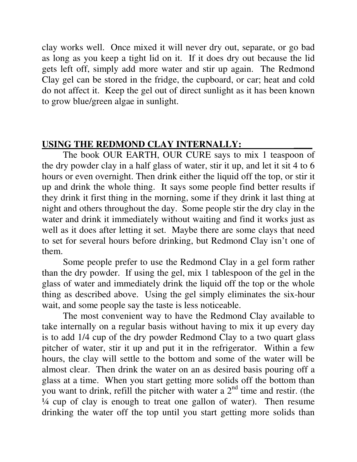clay works well. Once mixed it will never dry out, separate, or go bad as long as you keep a tight lid on it. If it does dry out because the lid gets left off, simply add more water and stir up again. The Redmond Clay gel can be stored in the fridge, the cupboard, or car; heat and cold do not affect it. Keep the gel out of direct sunlight as it has been known to grow blue/green algae in sunlight.

#### **USING THE REDMOND CLAY INTERNALLY: \_\_\_\_**

The book OUR EARTH, OUR CURE says to mix 1 teaspoon of the dry powder clay in a half glass of water, stir it up, and let it sit 4 to 6 hours or even overnight. Then drink either the liquid off the top, or stir it up and drink the whole thing. It says some people find better results if they drink it first thing in the morning, some if they drink it last thing at night and others throughout the day. Some people stir the dry clay in the water and drink it immediately without waiting and find it works just as well as it does after letting it set. Maybe there are some clays that need to set for several hours before drinking, but Redmond Clay isn't one of them.

Some people prefer to use the Redmond Clay in a gel form rather than the dry powder. If using the gel, mix 1 tablespoon of the gel in the glass of water and immediately drink the liquid off the top or the whole thing as described above. Using the gel simply eliminates the six-hour wait, and some people say the taste is less noticeable.

The most convenient way to have the Redmond Clay available to take internally on a regular basis without having to mix it up every day is to add 1/4 cup of the dry powder Redmond Clay to a two quart glass pitcher of water, stir it up and put it in the refrigerator. Within a few hours, the clay will settle to the bottom and some of the water will be almost clear. Then drink the water on an as desired basis pouring off a glass at a time. When you start getting more solids off the bottom than you want to drink, refill the pitcher with water a  $2<sup>nd</sup>$  time and restir. (the ¼ cup of clay is enough to treat one gallon of water). Then resume drinking the water off the top until you start getting more solids than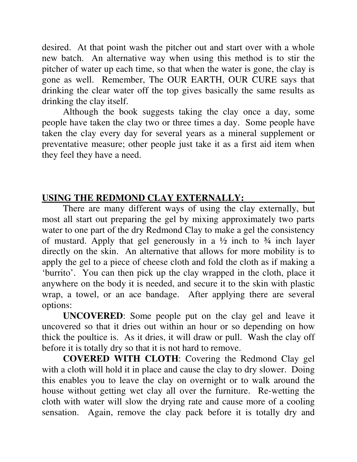desired. At that point wash the pitcher out and start over with a whole new batch. An alternative way when using this method is to stir the pitcher of water up each time, so that when the water is gone, the clay is gone as well. Remember, The OUR EARTH, OUR CURE says that drinking the clear water off the top gives basically the same results as drinking the clay itself.

Although the book suggests taking the clay once a day, some people have taken the clay two or three times a day. Some people have taken the clay every day for several years as a mineral supplement or preventative measure; other people just take it as a first aid item when they feel they have a need.

### **USING THE REDMOND CLAY EXTERNALLY:**

There are many different ways of using the clay externally, but most all start out preparing the gel by mixing approximately two parts water to one part of the dry Redmond Clay to make a gel the consistency of mustard. Apply that gel generously in a  $\frac{1}{2}$  inch to  $\frac{3}{4}$  inch layer directly on the skin. An alternative that allows for more mobility is to apply the gel to a piece of cheese cloth and fold the cloth as if making a 'burrito'. You can then pick up the clay wrapped in the cloth, place it anywhere on the body it is needed, and secure it to the skin with plastic wrap, a towel, or an ace bandage. After applying there are several options:

**UNCOVERED**: Some people put on the clay gel and leave it uncovered so that it dries out within an hour or so depending on how thick the poultice is. As it dries, it will draw or pull. Wash the clay off before it is totally dry so that it is not hard to remove.

**COVERED WITH CLOTH**: Covering the Redmond Clay gel with a cloth will hold it in place and cause the clay to dry slower. Doing this enables you to leave the clay on overnight or to walk around the house without getting wet clay all over the furniture. Re-wetting the cloth with water will slow the drying rate and cause more of a cooling sensation. Again, remove the clay pack before it is totally dry and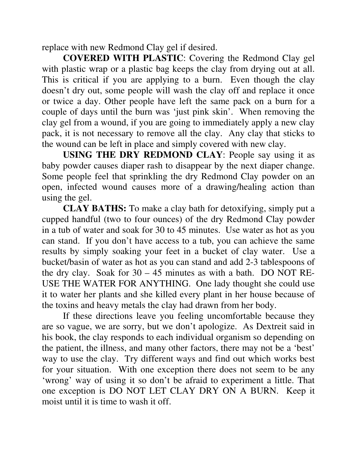replace with new Redmond Clay gel if desired.

**COVERED WITH PLASTIC**: Covering the Redmond Clay gel with plastic wrap or a plastic bag keeps the clay from drying out at all. This is critical if you are applying to a burn. Even though the clay doesn't dry out, some people will wash the clay off and replace it once or twice a day. Other people have left the same pack on a burn for a couple of days until the burn was 'just pink skin'. When removing the clay gel from a wound, if you are going to immediately apply a new clay pack, it is not necessary to remove all the clay. Any clay that sticks to the wound can be left in place and simply covered with new clay.

**USING THE DRY REDMOND CLAY**: People say using it as baby powder causes diaper rash to disappear by the next diaper change. Some people feel that sprinkling the dry Redmond Clay powder on an open, infected wound causes more of a drawing/healing action than using the gel.

**CLAY BATHS:** To make a clay bath for detoxifying, simply put a cupped handful (two to four ounces) of the dry Redmond Clay powder in a tub of water and soak for 30 to 45 minutes. Use water as hot as you can stand. If you don't have access to a tub, you can achieve the same results by simply soaking your feet in a bucket of clay water. Use a bucket/basin of water as hot as you can stand and add 2-3 tablespoons of the dry clay. Soak for  $30 - 45$  minutes as with a bath. DO NOT RE-USE THE WATER FOR ANYTHING. One lady thought she could use it to water her plants and she killed every plant in her house because of the toxins and heavy metals the clay had drawn from her body.

If these directions leave you feeling uncomfortable because they are so vague, we are sorry, but we don't apologize. As Dextreit said in his book, the clay responds to each individual organism so depending on the patient, the illness, and many other factors, there may not be a 'best' way to use the clay. Try different ways and find out which works best for your situation. With one exception there does not seem to be any 'wrong' way of using it so don't be afraid to experiment a little. That one exception is DO NOT LET CLAY DRY ON A BURN. Keep it moist until it is time to wash it off.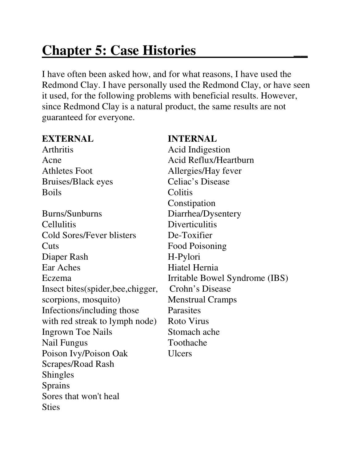## **Chapter 5: Case Histories \_\_**

I have often been asked how, and for what reasons, I have used the Redmond Clay. I have personally used the Redmond Clay, or have seen it used, for the following problems with beneficial results. However, since Redmond Clay is a natural product, the same results are not guaranteed for everyone.

#### **EXTERNAL INTERNAL**

Arthritis Acid Indigestion Bruises/Black eyes Celiac's Disease Boils Colitis

Burns/Sunburns Diarrhea/Dysentery Cellulitis Diverticulitis Cold Sores/Fever blisters De-Toxifier Cuts Food Poisoning Diaper Rash H-Pylori Ear Aches Hiatel Hernia Insect bites(spider,bee,chigger, Crohn's Disease scorpions, mosquito) Menstrual Cramps Infections/including those Parasites with red streak to lymph node) Roto Virus Ingrown Toe Nails Stomach ache Nail Fungus Toothache Poison Ivy/Poison Oak Ulcers Scrapes/Road Rash Shingles Sprains Sores that won't heal **Sties** 

Acne Acid Reflux/Heartburn Athletes Foot Allergies/Hay fever Constipation Eczema Irritable Bowel Syndrome (IBS)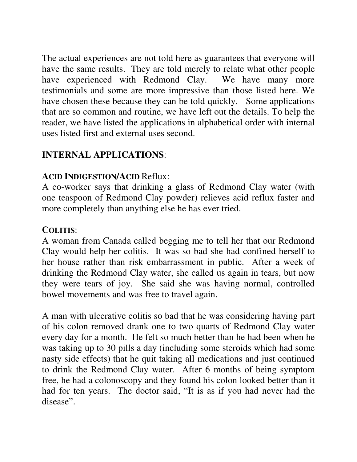The actual experiences are not told here as guarantees that everyone will have the same results. They are told merely to relate what other people have experienced with Redmond Clay. We have many more testimonials and some are more impressive than those listed here. We have chosen these because they can be told quickly. Some applications that are so common and routine, we have left out the details. To help the reader, we have listed the applications in alphabetical order with internal uses listed first and external uses second.

#### **INTERNAL APPLICATIONS**:

#### **ACID INDIGESTION/ACID** Reflux:

A co-worker says that drinking a glass of Redmond Clay water (with one teaspoon of Redmond Clay powder) relieves acid reflux faster and more completely than anything else he has ever tried.

#### **COLITIS**:

A woman from Canada called begging me to tell her that our Redmond Clay would help her colitis. It was so bad she had confined herself to her house rather than risk embarrassment in public. After a week of drinking the Redmond Clay water, she called us again in tears, but now they were tears of joy. She said she was having normal, controlled bowel movements and was free to travel again.

A man with ulcerative colitis so bad that he was considering having part of his colon removed drank one to two quarts of Redmond Clay water every day for a month. He felt so much better than he had been when he was taking up to 30 pills a day (including some steroids which had some nasty side effects) that he quit taking all medications and just continued to drink the Redmond Clay water. After 6 months of being symptom free, he had a colonoscopy and they found his colon looked better than it had for ten years. The doctor said, "It is as if you had never had the disease".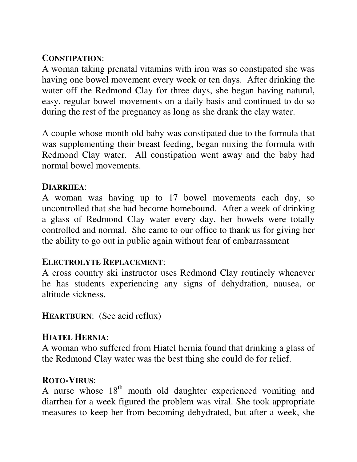#### **CONSTIPATION**:

A woman taking prenatal vitamins with iron was so constipated she was having one bowel movement every week or ten days. After drinking the water off the Redmond Clay for three days, she began having natural, easy, regular bowel movements on a daily basis and continued to do so during the rest of the pregnancy as long as she drank the clay water.

A couple whose month old baby was constipated due to the formula that was supplementing their breast feeding, began mixing the formula with Redmond Clay water. All constipation went away and the baby had normal bowel movements.

#### **DIARRHEA**:

A woman was having up to 17 bowel movements each day, so uncontrolled that she had become homebound. After a week of drinking a glass of Redmond Clay water every day, her bowels were totally controlled and normal. She came to our office to thank us for giving her the ability to go out in public again without fear of embarrassment

#### **ELECTROLYTE REPLACEMENT**:

A cross country ski instructor uses Redmond Clay routinely whenever he has students experiencing any signs of dehydration, nausea, or altitude sickness.

**HEARTBURN**: (See acid reflux)

#### **HIATEL HERNIA**:

A woman who suffered from Hiatel hernia found that drinking a glass of the Redmond Clay water was the best thing she could do for relief.

#### **ROTO-VIRUS**:

A nurse whose  $18<sup>th</sup>$  month old daughter experienced vomiting and diarrhea for a week figured the problem was viral. She took appropriate measures to keep her from becoming dehydrated, but after a week, she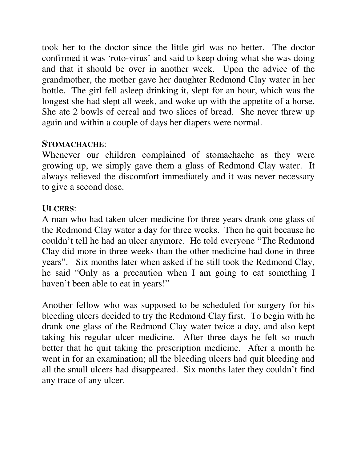took her to the doctor since the little girl was no better. The doctor confirmed it was 'roto-virus' and said to keep doing what she was doing and that it should be over in another week. Upon the advice of the grandmother, the mother gave her daughter Redmond Clay water in her bottle. The girl fell asleep drinking it, slept for an hour, which was the longest she had slept all week, and woke up with the appetite of a horse. She ate 2 bowls of cereal and two slices of bread. She never threw up again and within a couple of days her diapers were normal.

#### **STOMACHACHE**:

Whenever our children complained of stomachache as they were growing up, we simply gave them a glass of Redmond Clay water. It always relieved the discomfort immediately and it was never necessary to give a second dose.

#### **ULCERS**:

A man who had taken ulcer medicine for three years drank one glass of the Redmond Clay water a day for three weeks. Then he quit because he couldn't tell he had an ulcer anymore. He told everyone "The Redmond Clay did more in three weeks than the other medicine had done in three years". Six months later when asked if he still took the Redmond Clay, he said "Only as a precaution when I am going to eat something I haven't been able to eat in years!"

Another fellow who was supposed to be scheduled for surgery for his bleeding ulcers decided to try the Redmond Clay first. To begin with he drank one glass of the Redmond Clay water twice a day, and also kept taking his regular ulcer medicine. After three days he felt so much better that he quit taking the prescription medicine. After a month he went in for an examination; all the bleeding ulcers had quit bleeding and all the small ulcers had disappeared. Six months later they couldn't find any trace of any ulcer.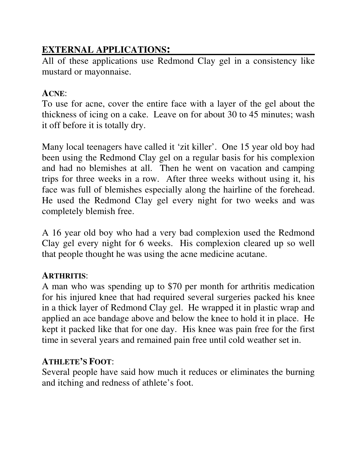### **EXTERNAL APPLICATIONS:**

All of these applications use Redmond Clay gel in a consistency like mustard or mayonnaise.

#### **ACNE**:

To use for acne, cover the entire face with a layer of the gel about the thickness of icing on a cake. Leave on for about 30 to 45 minutes; wash it off before it is totally dry.

Many local teenagers have called it 'zit killer'. One 15 year old boy had been using the Redmond Clay gel on a regular basis for his complexion and had no blemishes at all. Then he went on vacation and camping trips for three weeks in a row. After three weeks without using it, his face was full of blemishes especially along the hairline of the forehead. He used the Redmond Clay gel every night for two weeks and was completely blemish free.

A 16 year old boy who had a very bad complexion used the Redmond Clay gel every night for 6 weeks. His complexion cleared up so well that people thought he was using the acne medicine acutane.

#### **ARTHRITIS**:

A man who was spending up to \$70 per month for arthritis medication for his injured knee that had required several surgeries packed his knee in a thick layer of Redmond Clay gel. He wrapped it in plastic wrap and applied an ace bandage above and below the knee to hold it in place. He kept it packed like that for one day. His knee was pain free for the first time in several years and remained pain free until cold weather set in.

#### **ATHLETE'S FOOT**:

Several people have said how much it reduces or eliminates the burning and itching and redness of athlete's foot.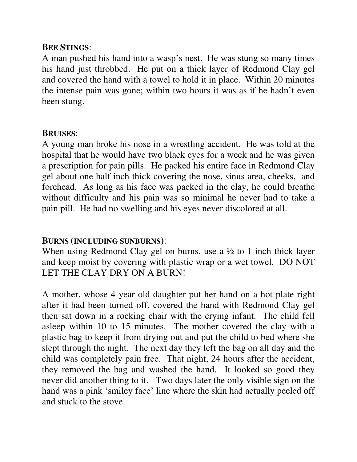#### **BEE STINGS**:

A man pushed his hand into a wasp's nest. He was stung so many times his hand just throbbed. He put on a thick layer of Redmond Clay gel and covered the hand with a towel to hold it in place. Within 20 minutes the intense pain was gone; within two hours it was as if he hadn't even been stung.

#### **BRUISES**:

A young man broke his nose in a wrestling accident. He was told at the hospital that he would have two black eyes for a week and he was given a prescription for pain pills. He packed his entire face in Redmond Clay gel about one half inch thick covering the nose, sinus area, cheeks, and forehead. As long as his face was packed in the clay, he could breathe without difficulty and his pain was so minimal he never had to take a pain pill. He had no swelling and his eyes never discolored at all.

#### **BURNS (INCLUDING SUNBURNS)**:

When using Redmond Clay gel on burns, use a  $\frac{1}{2}$  to 1 inch thick layer and keep moist by covering with plastic wrap or a wet towel. DO NOT LET THE CLAY DRY ON A BURN!

A mother, whose 4 year old daughter put her hand on a hot plate right after it had been turned off, covered the hand with Redmond Clay gel then sat down in a rocking chair with the crying infant. The child fell asleep within 10 to 15 minutes. The mother covered the clay with a plastic bag to keep it from drying out and put the child to bed where she slept through the night. The next day they left the bag on all day and the child was completely pain free. That night, 24 hours after the accident, they removed the bag and washed the hand. It looked so good they never did another thing to it. Two days later the only visible sign on the hand was a pink 'smiley face' line where the skin had actually peeled off and stuck to the stove.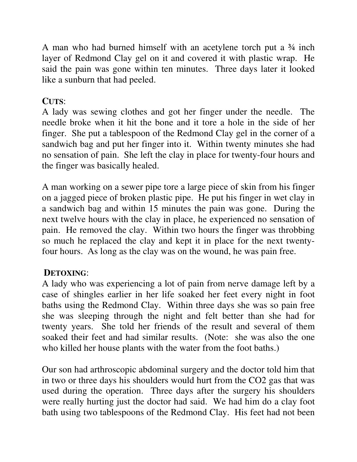A man who had burned himself with an acetylene torch put a ¾ inch layer of Redmond Clay gel on it and covered it with plastic wrap. He said the pain was gone within ten minutes. Three days later it looked like a sunburn that had peeled.

#### **CUTS**:

A lady was sewing clothes and got her finger under the needle. The needle broke when it hit the bone and it tore a hole in the side of her finger. She put a tablespoon of the Redmond Clay gel in the corner of a sandwich bag and put her finger into it. Within twenty minutes she had no sensation of pain. She left the clay in place for twenty-four hours and the finger was basically healed.

A man working on a sewer pipe tore a large piece of skin from his finger on a jagged piece of broken plastic pipe. He put his finger in wet clay in a sandwich bag and within 15 minutes the pain was gone. During the next twelve hours with the clay in place, he experienced no sensation of pain. He removed the clay. Within two hours the finger was throbbing so much he replaced the clay and kept it in place for the next twentyfour hours. As long as the clay was on the wound, he was pain free.

#### **DETOXING**:

A lady who was experiencing a lot of pain from nerve damage left by a case of shingles earlier in her life soaked her feet every night in foot baths using the Redmond Clay. Within three days she was so pain free she was sleeping through the night and felt better than she had for twenty years. She told her friends of the result and several of them soaked their feet and had similar results. (Note: she was also the one who killed her house plants with the water from the foot baths.)

Our son had arthroscopic abdominal surgery and the doctor told him that in two or three days his shoulders would hurt from the CO2 gas that was used during the operation. Three days after the surgery his shoulders were really hurting just the doctor had said. We had him do a clay foot bath using two tablespoons of the Redmond Clay. His feet had not been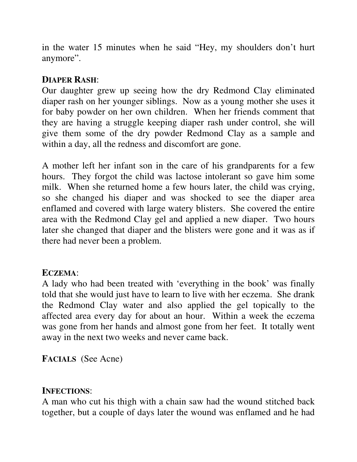in the water 15 minutes when he said "Hey, my shoulders don't hurt anymore".

#### **DIAPER RASH**:

Our daughter grew up seeing how the dry Redmond Clay eliminated diaper rash on her younger siblings. Now as a young mother she uses it for baby powder on her own children. When her friends comment that they are having a struggle keeping diaper rash under control, she will give them some of the dry powder Redmond Clay as a sample and within a day, all the redness and discomfort are gone.

A mother left her infant son in the care of his grandparents for a few hours. They forgot the child was lactose intolerant so gave him some milk. When she returned home a few hours later, the child was crying, so she changed his diaper and was shocked to see the diaper area enflamed and covered with large watery blisters. She covered the entire area with the Redmond Clay gel and applied a new diaper. Two hours later she changed that diaper and the blisters were gone and it was as if there had never been a problem.

#### **ECZEMA**:

A lady who had been treated with 'everything in the book' was finally told that she would just have to learn to live with her eczema. She drank the Redmond Clay water and also applied the gel topically to the affected area every day for about an hour. Within a week the eczema was gone from her hands and almost gone from her feet. It totally went away in the next two weeks and never came back.

**FACIALS** (See Acne)

#### **INFECTIONS**:

A man who cut his thigh with a chain saw had the wound stitched back together, but a couple of days later the wound was enflamed and he had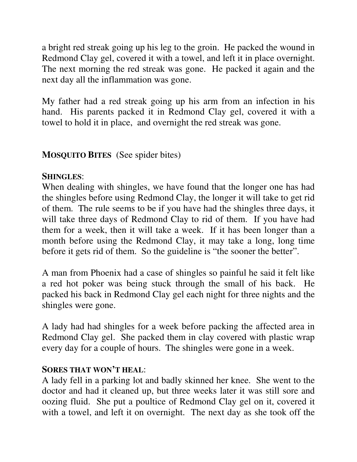a bright red streak going up his leg to the groin. He packed the wound in Redmond Clay gel, covered it with a towel, and left it in place overnight. The next morning the red streak was gone. He packed it again and the next day all the inflammation was gone.

My father had a red streak going up his arm from an infection in his hand. His parents packed it in Redmond Clay gel, covered it with a towel to hold it in place, and overnight the red streak was gone.

#### **MOSQUITO BITES** (See spider bites)

#### **SHINGLES**:

When dealing with shingles, we have found that the longer one has had the shingles before using Redmond Clay, the longer it will take to get rid of them. The rule seems to be if you have had the shingles three days, it will take three days of Redmond Clay to rid of them. If you have had them for a week, then it will take a week. If it has been longer than a month before using the Redmond Clay, it may take a long, long time before it gets rid of them. So the guideline is "the sooner the better".

A man from Phoenix had a case of shingles so painful he said it felt like a red hot poker was being stuck through the small of his back. He packed his back in Redmond Clay gel each night for three nights and the shingles were gone.

A lady had had shingles for a week before packing the affected area in Redmond Clay gel. She packed them in clay covered with plastic wrap every day for a couple of hours. The shingles were gone in a week.

#### **SORES THAT WON'T HEAL**:

A lady fell in a parking lot and badly skinned her knee. She went to the doctor and had it cleaned up, but three weeks later it was still sore and oozing fluid. She put a poultice of Redmond Clay gel on it, covered it with a towel, and left it on overnight. The next day as she took off the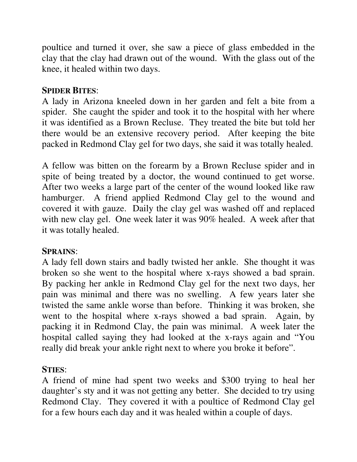poultice and turned it over, she saw a piece of glass embedded in the clay that the clay had drawn out of the wound. With the glass out of the knee, it healed within two days.

#### **SPIDER BITES**:

A lady in Arizona kneeled down in her garden and felt a bite from a spider. She caught the spider and took it to the hospital with her where it was identified as a Brown Recluse. They treated the bite but told her there would be an extensive recovery period. After keeping the bite packed in Redmond Clay gel for two days, she said it was totally healed.

A fellow was bitten on the forearm by a Brown Recluse spider and in spite of being treated by a doctor, the wound continued to get worse. After two weeks a large part of the center of the wound looked like raw hamburger. A friend applied Redmond Clay gel to the wound and covered it with gauze. Daily the clay gel was washed off and replaced with new clay gel. One week later it was 90% healed. A week after that it was totally healed.

#### **SPRAINS**:

A lady fell down stairs and badly twisted her ankle. She thought it was broken so she went to the hospital where x-rays showed a bad sprain. By packing her ankle in Redmond Clay gel for the next two days, her pain was minimal and there was no swelling. A few years later she twisted the same ankle worse than before. Thinking it was broken, she went to the hospital where x-rays showed a bad sprain. Again, by packing it in Redmond Clay, the pain was minimal. A week later the hospital called saying they had looked at the x-rays again and "You really did break your ankle right next to where you broke it before".

#### **STIES**:

A friend of mine had spent two weeks and \$300 trying to heal her daughter's sty and it was not getting any better. She decided to try using Redmond Clay. They covered it with a poultice of Redmond Clay gel for a few hours each day and it was healed within a couple of days.